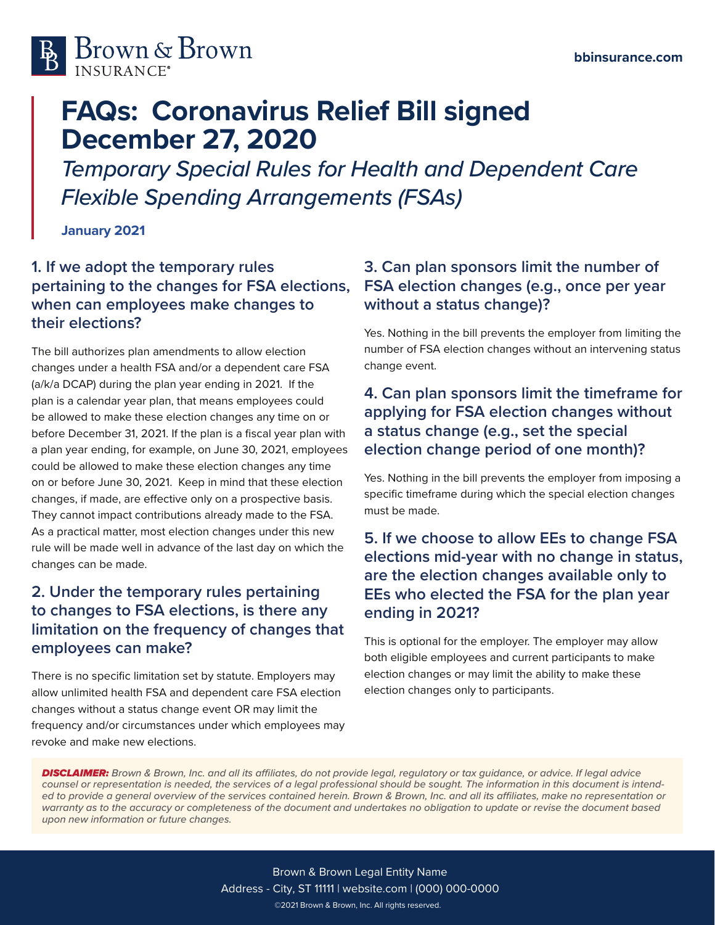

# **FAQs: Coronavirus Relief Bill signed December 27, 2020**

*Temporary Special Rules for Health and Dependent Care Flexible Spending Arrangements (FSAs)*

**January 2021**

#### **1. If we adopt the temporary rules pertaining to the changes for FSA elections, when can employees make changes to their elections?**

The bill authorizes plan amendments to allow election changes under a health FSA and/or a dependent care FSA (a/k/a DCAP) during the plan year ending in 2021. If the plan is a calendar year plan, that means employees could be allowed to make these election changes any time on or before December 31, 2021. If the plan is a fiscal year plan with a plan year ending, for example, on June 30, 2021, employees could be allowed to make these election changes any time on or before June 30, 2021. Keep in mind that these election changes, if made, are effective only on a prospective basis. They cannot impact contributions already made to the FSA. As a practical matter, most election changes under this new rule will be made well in advance of the last day on which the changes can be made.

## **2. Under the temporary rules pertaining to changes to FSA elections, is there any limitation on the frequency of changes that employees can make?**

There is no specific limitation set by statute. Employers may allow unlimited health FSA and dependent care FSA election changes without a status change event OR may limit the frequency and/or circumstances under which employees may revoke and make new elections.

## **3. Can plan sponsors limit the number of FSA election changes (e.g., once per year without a status change)?**

Yes. Nothing in the bill prevents the employer from limiting the number of FSA election changes without an intervening status change event.

## **4. Can plan sponsors limit the timeframe for applying for FSA election changes without a status change (e.g., set the special election change period of one month)?**

Yes. Nothing in the bill prevents the employer from imposing a specific timeframe during which the special election changes must be made.

## **5. If we choose to allow EEs to change FSA elections mid-year with no change in status, are the election changes available only to EEs who elected the FSA for the plan year ending in 2021?**

This is optional for the employer. The employer may allow both eligible employees and current participants to make election changes or may limit the ability to make these election changes only to participants.

*DISCLAIMER: Brown & Brown, Inc. and all its affiliates, do not provide legal, regulatory or tax guidance, or advice. If legal advice counsel or representation is needed, the services of a legal professional should be sought. The information in this document is intended to provide a general overview of the services contained herein. Brown & Brown, Inc. and all its affiliates, make no representation or*  warranty as to the accuracy or completeness of the document and undertakes no obligation to update or revise the document based *upon new information or future changes.*

> ©2021 Brown & Brown, Inc. All rights reserved. Brown & Brown Legal Entity Name Address - City, ST 11111 | website.com | (000) 000-0000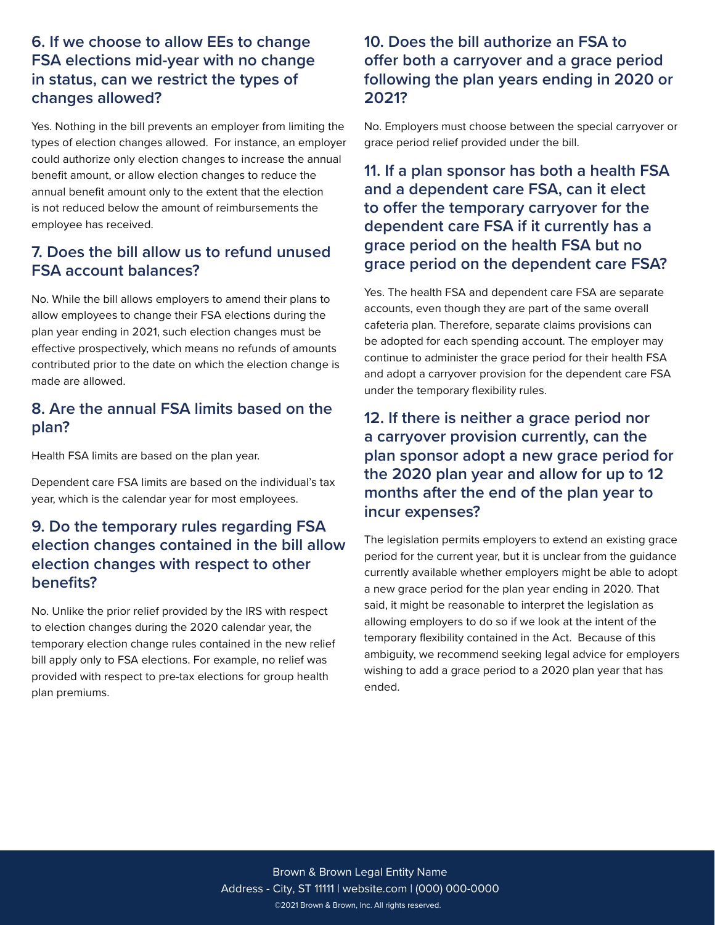#### **6. If we choose to allow EEs to change FSA elections mid-year with no change in status, can we restrict the types of changes allowed?**

Yes. Nothing in the bill prevents an employer from limiting the types of election changes allowed. For instance, an employer could authorize only election changes to increase the annual benefit amount, or allow election changes to reduce the annual benefit amount only to the extent that the election is not reduced below the amount of reimbursements the employee has received.

#### **7. Does the bill allow us to refund unused FSA account balances?**

No. While the bill allows employers to amend their plans to allow employees to change their FSA elections during the plan year ending in 2021, such election changes must be effective prospectively, which means no refunds of amounts contributed prior to the date on which the election change is made are allowed.

#### **8. Are the annual FSA limits based on the plan?**

Health FSA limits are based on the plan year.

Dependent care FSA limits are based on the individual's tax year, which is the calendar year for most employees.

#### **9. Do the temporary rules regarding FSA election changes contained in the bill allow election changes with respect to other benefits?**

No. Unlike the prior relief provided by the IRS with respect to election changes during the 2020 calendar year, the temporary election change rules contained in the new relief bill apply only to FSA elections. For example, no relief was provided with respect to pre-tax elections for group health plan premiums.

### **10. Does the bill authorize an FSA to offer both a carryover and a grace period following the plan years ending in 2020 or 2021?**

No. Employers must choose between the special carryover or grace period relief provided under the bill.

#### **11. If a plan sponsor has both a health FSA and a dependent care FSA, can it elect to offer the temporary carryover for the dependent care FSA if it currently has a grace period on the health FSA but no grace period on the dependent care FSA?**

Yes. The health FSA and dependent care FSA are separate accounts, even though they are part of the same overall cafeteria plan. Therefore, separate claims provisions can be adopted for each spending account. The employer may continue to administer the grace period for their health FSA and adopt a carryover provision for the dependent care FSA under the temporary flexibility rules.

### **12. If there is neither a grace period nor a carryover provision currently, can the plan sponsor adopt a new grace period for the 2020 plan year and allow for up to 12 months after the end of the plan year to incur expenses?**

The legislation permits employers to extend an existing grace period for the current year, but it is unclear from the guidance currently available whether employers might be able to adopt a new grace period for the plan year ending in 2020. That said, it might be reasonable to interpret the legislation as allowing employers to do so if we look at the intent of the temporary flexibility contained in the Act. Because of this ambiguity, we recommend seeking legal advice for employers wishing to add a grace period to a 2020 plan year that has ended.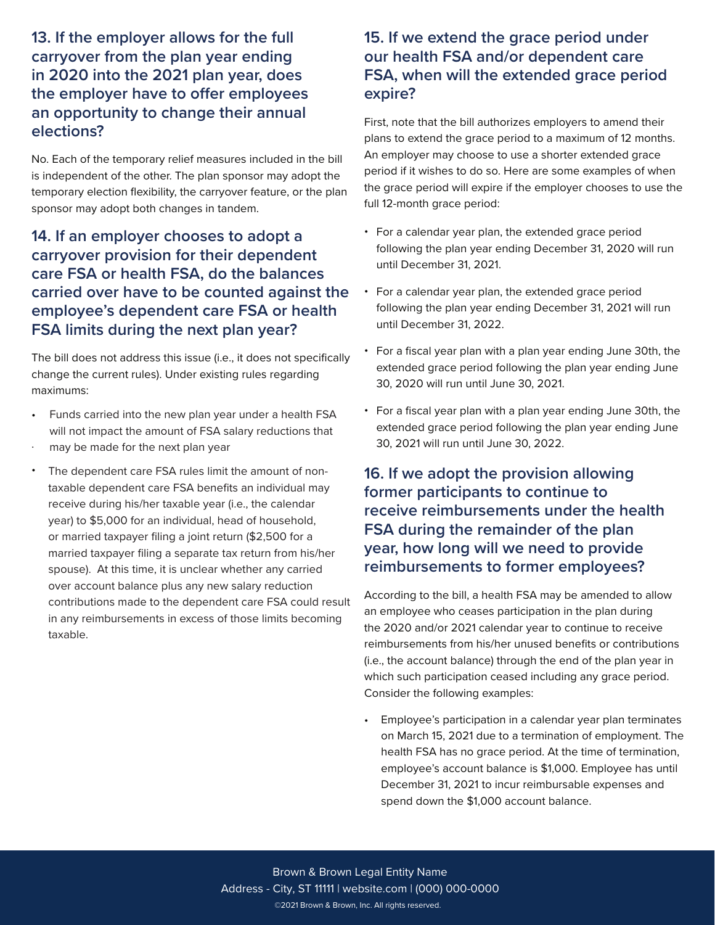### **13. If the employer allows for the full carryover from the plan year ending in 2020 into the 2021 plan year, does the employer have to offer employees an opportunity to change their annual elections?**

No. Each of the temporary relief measures included in the bill is independent of the other. The plan sponsor may adopt the temporary election flexibility, the carryover feature, or the plan sponsor may adopt both changes in tandem.

**14. If an employer chooses to adopt a carryover provision for their dependent care FSA or health FSA, do the balances carried over have to be counted against the employee's dependent care FSA or health FSA limits during the next plan year?** 

The bill does not address this issue (i.e., it does not specifically change the current rules). Under existing rules regarding maximums:

- Funds carried into the new plan year under a health FSA will not impact the amount of FSA salary reductions that
- . may be made for the next plan year
- The dependent care FSA rules limit the amount of nontaxable dependent care FSA benefits an individual may receive during his/her taxable year (i.e., the calendar year) to \$5,000 for an individual, head of household, or married taxpayer filing a joint return (\$2,500 for a married taxpayer filing a separate tax return from his/her spouse). At this time, it is unclear whether any carried over account balance plus any new salary reduction contributions made to the dependent care FSA could result in any reimbursements in excess of those limits becoming taxable. •

#### **15. If we extend the grace period under our health FSA and/or dependent care FSA, when will the extended grace period expire?**

First, note that the bill authorizes employers to amend their plans to extend the grace period to a maximum of 12 months. An employer may choose to use a shorter extended grace period if it wishes to do so. Here are some examples of when the grace period will expire if the employer chooses to use the full 12-month grace period:

- For a calendar year plan, the extended grace period following the plan year ending December 31, 2020 will run until December 31, 2021.
- For a calendar year plan, the extended grace period following the plan year ending December 31, 2021 will run until December 31, 2022.
- For a fiscal year plan with a plan year ending June 30th, the extended grace period following the plan year ending June 30, 2020 will run until June 30, 2021.
- For a fiscal year plan with a plan year ending June 30th, the extended grace period following the plan year ending June 30, 2021 will run until June 30, 2022.

## **16. If we adopt the provision allowing former participants to continue to receive reimbursements under the health FSA during the remainder of the plan year, how long will we need to provide reimbursements to former employees?**

According to the bill, a health FSA may be amended to allow an employee who ceases participation in the plan during the 2020 and/or 2021 calendar year to continue to receive reimbursements from his/her unused benefits or contributions (i.e., the account balance) through the end of the plan year in which such participation ceased including any grace period. Consider the following examples:

Employee's participation in a calendar year plan terminates • on March 15, 2021 due to a termination of employment. The health FSA has no grace period. At the time of termination, employee's account balance is \$1,000. Employee has until December 31, 2021 to incur reimbursable expenses and spend down the \$1,000 account balance.

©2021 Brown & Brown, Inc. All rights reserved. Brown & Brown Legal Entity Name Address - City, ST 11111 | website.com | (000) 000-0000